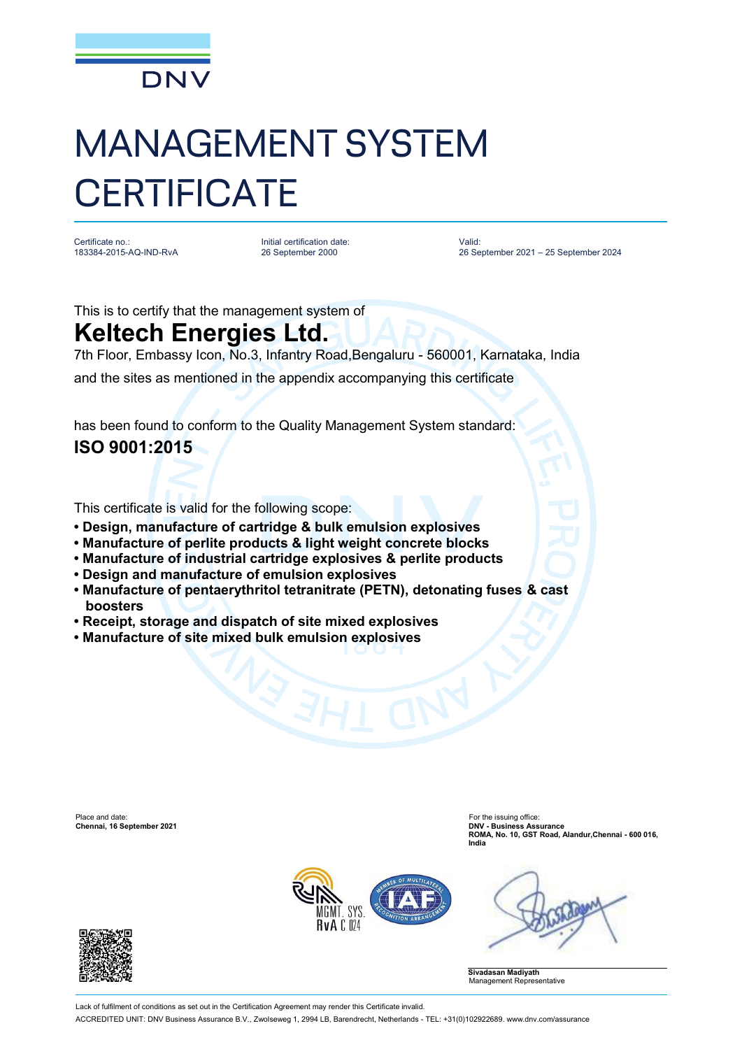

## MANAGEMENT SYSTEM **CERTIFICATE**

Certificate no.: 183384-2015-AQ-IND-RvA Initial certification date: 26 September 2000

Valid: 26 September 2021 – 25 September 2024

This is to certify that the management system of

## **Keltech Energies Ltd.**

7th Floor, Embassy Icon, No.3, Infantry Road,Bengaluru - 560001, Karnataka, India

and the sites as mentioned in the appendix accompanying this certificate

has been found to conform to the Quality Management System standard: **ISO 9001:2015**

This certificate is valid for the following scope:

- **Design, manufacture of cartridge & bulk emulsion explosives**
- **Manufacture of perlite products & light weight concrete blocks**
- **Manufacture of industrial cartridge explosives & perlite products**
- **Design and manufacture of emulsion explosives**
- **Manufacture of pentaerythritol tetranitrate (PETN), detonating fuses & cast boosters**
- **Receipt, storage and dispatch of site mixed explosives**
- **Manufacture of site mixed bulk emulsion explosives**

Place and date: For the issuing office: **Chennai, 16 September 2021** 

**ROMA, No. 10, GST Road, Alandur,Chennai - 600 016, India**







Lack of fulfilment of conditions as set out in the Certification Agreement may render this Certificate invalid

ACCREDITED UNIT: DNV Business Assurance B.V., Zwolseweg 1, 2994 LB, Barendrecht, Netherlands - TEL: +31(0)102922689. [www.dnv.com/assurance](http://www.dnv.com/assurance)